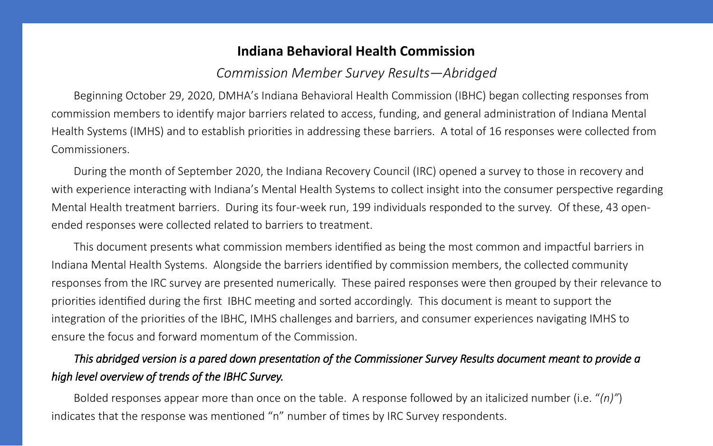## **Indiana Behavioral Health Commission**

Beginning October 29, 2020, DMHA's Indiana Behavioral Health Commission (IBHC) began collecting responses from commission members to identify major barriers related to access, funding, and general administration of Indiana Mental Health Systems (IMHS) and to establish priorities in addressing these barriers. A total of 16 responses were collected from Commissioners.

During the month of September 2020, the Indiana Recovery Council (IRC) opened a survey to those in recovery and with experience interacting with Indiana's Mental Health Systems to collect insight into the consumer perspective regarding Mental Health treatment barriers. During its four-week run, 199 individuals responded to the survey. Of these, 43 openended responses were collected related to barriers to treatment.

This document presents what commission members identified as being the most common and impactful barriers in Indiana Mental Health Systems. Alongside the barriers identified by commission members, the collected community responses from the IRC survey are presented numerically. These paired responses were then grouped by their relevance to priorities identified during the first IBHC meeting and sorted accordingly. This document is meant to support the integration of the priorities of the IBHC, IMHS challenges and barriers, and consumer experiences navigating IMHS to ensure the focus and forward momentum of the Commission.

# *This abridged version is a pared down presentation of the Commissioner Survey Results document meant to provide a high level overview of trends of the IBHC Survey.*

Bolded responses appear more than once on the table. A response followed by an italicized number (i.e. "*(n)"*) indicates that the response was mentioned "n" number of times by IRC Survey respondents.

*Commission Member Survey Results—Abridged*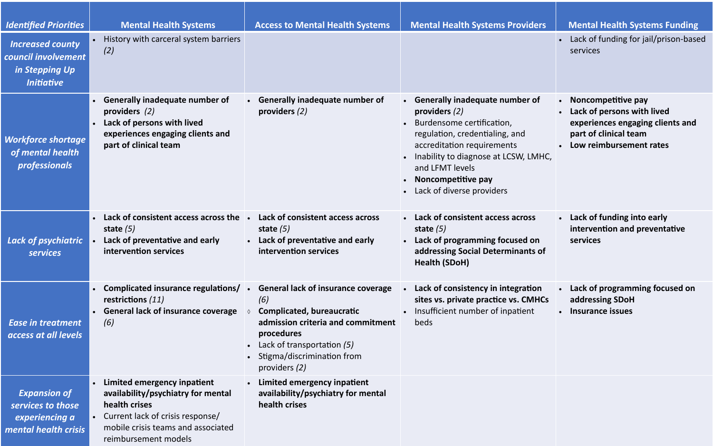- Lack of funding for jail/prison-based services
- **Noncompetitive pay**
- **Lack of persons with lived experiences engaging clients and part of clinical team**
- **Low reimbursement rates**

| <b>Identified Priorities</b>                                                          | <b>Mental Health Systems</b>                                                                                                                                                         | <b>Access to Mental Health Systems</b>                                                                                                                                                                                                             | <b>Mental Health Systems Providers</b>                                                                                                                                                                                                                                                        |
|---------------------------------------------------------------------------------------|--------------------------------------------------------------------------------------------------------------------------------------------------------------------------------------|----------------------------------------------------------------------------------------------------------------------------------------------------------------------------------------------------------------------------------------------------|-----------------------------------------------------------------------------------------------------------------------------------------------------------------------------------------------------------------------------------------------------------------------------------------------|
| <b>Increased county</b><br>council involvement<br>in Stepping Up<br><b>Initiative</b> | History with carceral system barriers<br>$\bullet$<br>(2)                                                                                                                            |                                                                                                                                                                                                                                                    |                                                                                                                                                                                                                                                                                               |
| <b>Workforce shortage</b><br>of mental health<br>professionals                        | <b>Generally inadequate number of</b><br>providers $(2)$<br>Lack of persons with lived<br>experiences engaging clients and<br>part of clinical team                                  | <b>Generally inadequate number of</b><br>providers $(2)$                                                                                                                                                                                           | <b>Generally inadequate number of</b><br>providers $(2)$<br>Burdensome certification,<br>regulation, credentialing, and<br>accreditation requirements<br>Inability to diagnose at LCSW, LMHC,<br>and LFMT levels<br>Noncompetitive pay<br>$\bullet$<br>Lack of diverse providers<br>$\bullet$ |
| <b>Lack of psychiatric</b><br><b>services</b>                                         | Lack of consistent access across the<br>state $(5)$<br>Lack of preventative and early<br>$\bullet$<br>intervention services                                                          | Lack of consistent access across<br>$\bullet$<br>state $(5)$<br>Lack of preventative and early<br>$\bullet$<br>intervention services                                                                                                               | Lack of consistent access across<br>$\bullet$<br>state $(5)$<br>Lack of programming focused on<br>$\bullet$<br>addressing Social Determinants of<br><b>Health (SDoH)</b>                                                                                                                      |
| <b>Ease in treatment</b><br>access at all levels                                      | restrictions (11)<br><b>General lack of insurance coverage</b><br>(6)                                                                                                                | Complicated insurance regulations/ • General lack of insurance coverage<br>(6)<br><b>Complicated, bureaucratic</b><br>admission criteria and commitment<br>procedures<br>Lack of transportation (5)<br>Stigma/discrimination from<br>providers (2) | Lack of consistency in integration<br>sites vs. private practice vs. CMHCs<br>Insufficient number of inpatient<br>beds                                                                                                                                                                        |
| <b>Expansion of</b><br>services to those<br>experiencing a<br>mental health crisis    | Limited emergency inpatient<br>availability/psychiatry for mental<br>health crises<br>Current lack of crisis response/<br>mobile crisis teams and associated<br>reimbursement models | Limited emergency inpatient<br>availability/psychiatry for mental<br>health crises                                                                                                                                                                 |                                                                                                                                                                                                                                                                                               |

## **Mental Health Systems Funding**

- **Lack of funding into early intervention and preventative services**
- **Lack of programming focused on addressing SDoH**
- **Insurance issues**